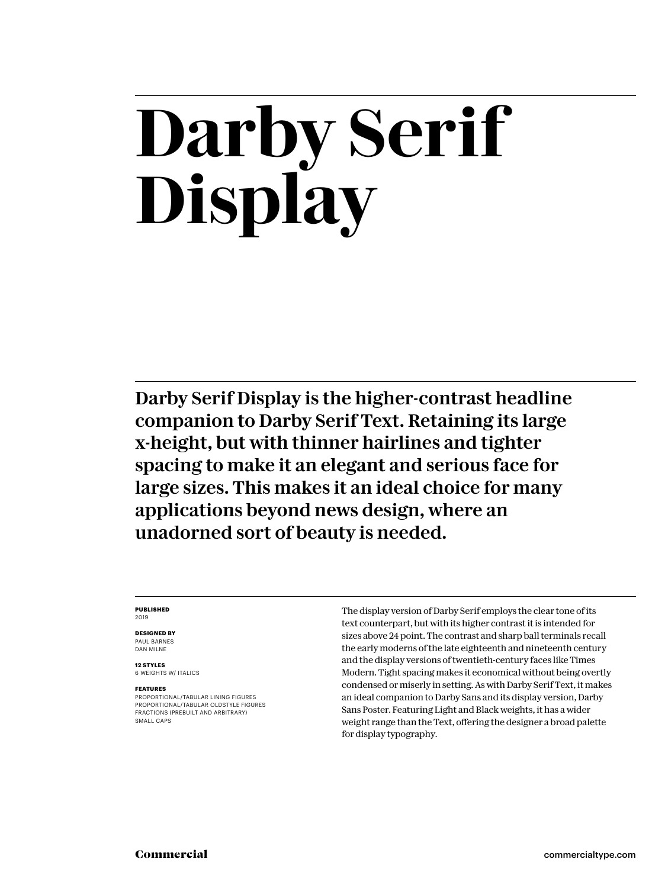## **Darby Serif Display**

Darby Serif Display is the higher-contrast headline companion to Darby Serif Text. Retaining its large x-height, but with thinner hairlines and tighter spacing to make it an elegant and serious face for large sizes. This makes it an ideal choice for many applications beyond news design, where an unadorned sort of beauty is needed.

#### **PUBLISHED** 2019

#### **DESIGNED BY** PAUL BARNES

DAN MILNE

**12 STYLES** 6 WEIGHTS W/ ITALICS

#### **FEATURES**

PROPORTIONAL/TABULAR LINING FIGURES PROPORTIONAL/TABULAR OLDSTYLE FIGURES FRACTIONS (PREBUILT AND ARBITRARY) SMALL CAPS

The display version of Darby Serif employs the clear tone of its text counterpart, but with its higher contrast it is intended for sizes above 24 point. The contrast and sharp ball terminals recall the early moderns of the late eighteenth and nineteenth century and the display versions of twentieth-century faces like Times Modern. Tight spacing makes it economical without being overtly condensed or miserly in setting. As with Darby Serif Text, it makes an ideal companion to Darby Sans and its display version, Darby Sans Poster. Featuring Light and Black weights, it has a wider weight range than the Text, offering the designer a broad palette for display typography.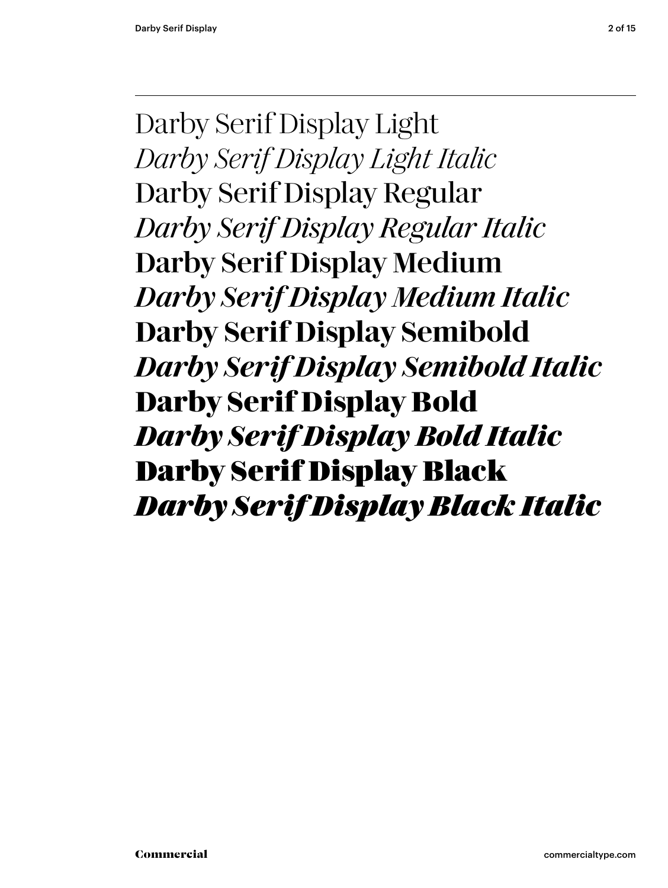Darby Serif Display Light *Darby Serif Display Light Italic* Darby Serif Display Regular *Darby Serif Display Regular Italic* Darby Serif Display Medium *Darby Serif Display Medium Italic* **Darby Serif Display Semibold** *Darby Serif Display Semibold Italic* **Darby Serif Display Bold** *Darby Serif Display Bold Italic* Darby Serif Display Black *Darby Serif Display Black Italic*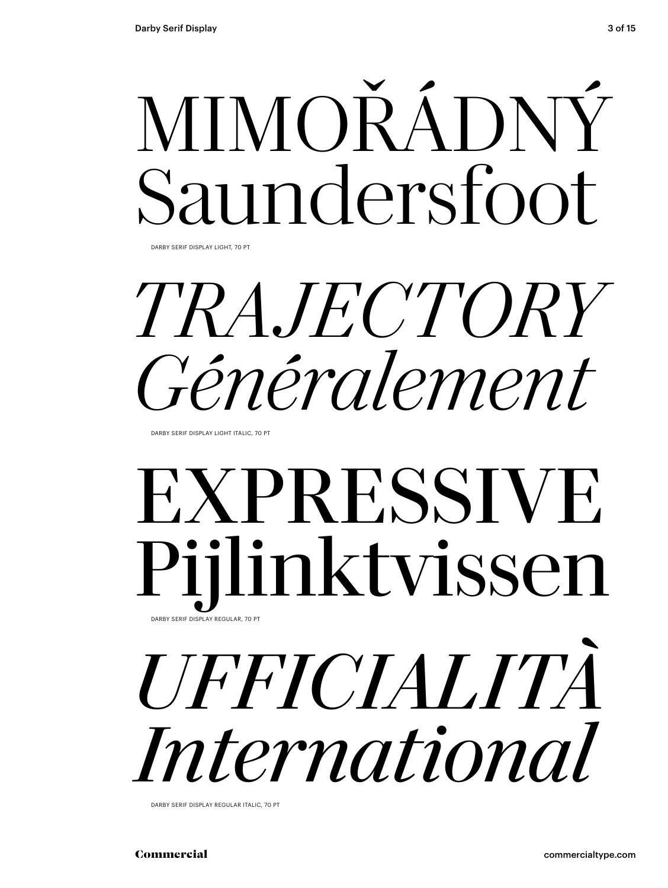# MIMOŘÁDNÝ Saundersfoot

DARBY SERIF DISPLAY LIGHT, 70 PT

## *TRAJECTORY Généralement*

DARBY SERIF DISPLAY LIGHT ITALIC, 70 PT

### EXPRESSIVE Pijlinktvissen DARBY SERIF DISPLAY REGULAR, 70 PT

# *UFFICIALITÀ International*

DARBY SERIF DISPLAY REGULAR ITALIC, 70 PT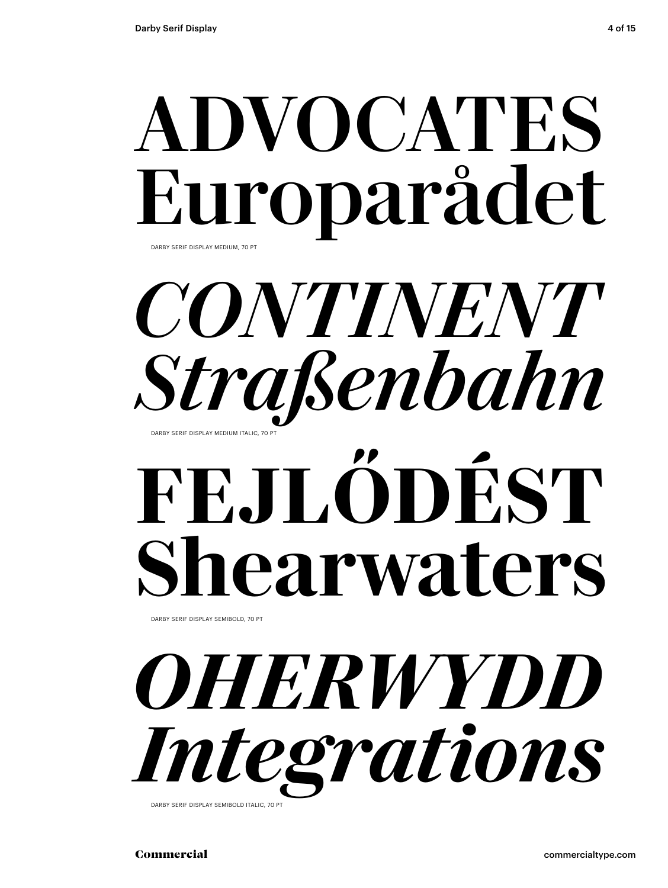### ADVOCATES Europarådet DARBY SERIF DISPLAY MEDIUM, 70 PT

### *CONTINENT Straßenbahn* DARBY SERIF DISPLAY MEDIUM ITALIC, 70

# **FEJLŐDÉST Shearwaters**

DARBY SERIF DISPLAY SEMIBOLD, 70 PT

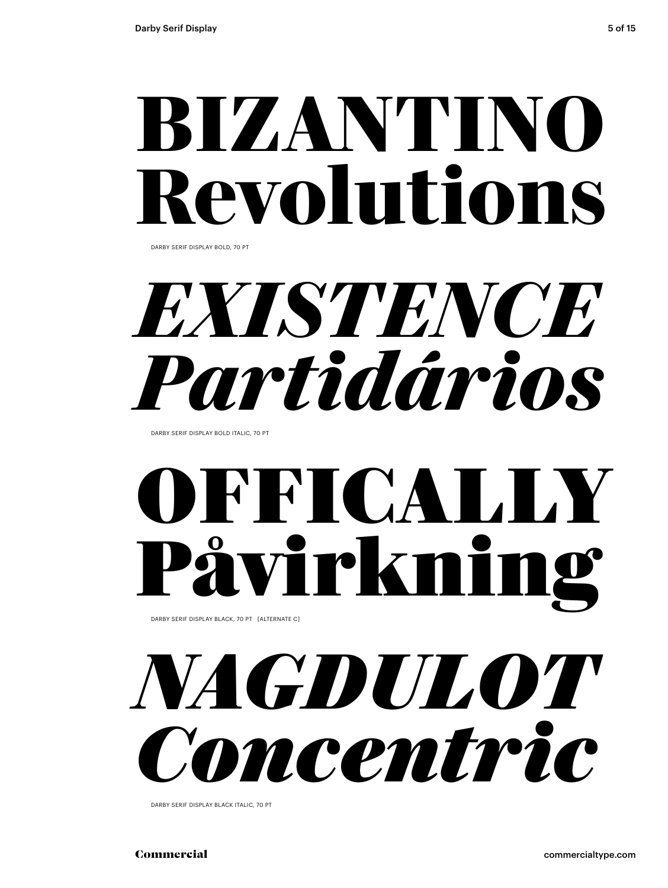## **BIZANTINO Revolutions**

DARBY SERIF DISPLAY BOLD, 70 PT

*EXISTENCE Partidários*

DARBY SERIF DISPLAY BOLD ITALIC, 70 PT

## OFFICALLY rirkni

DARBY SERIF DISPLAY BLACK, 70 PT [ALTERNATE C]

## *NAGDULOT Concentric*

DARBY SERIF DISPLAY BLACK ITALIC, 70 PT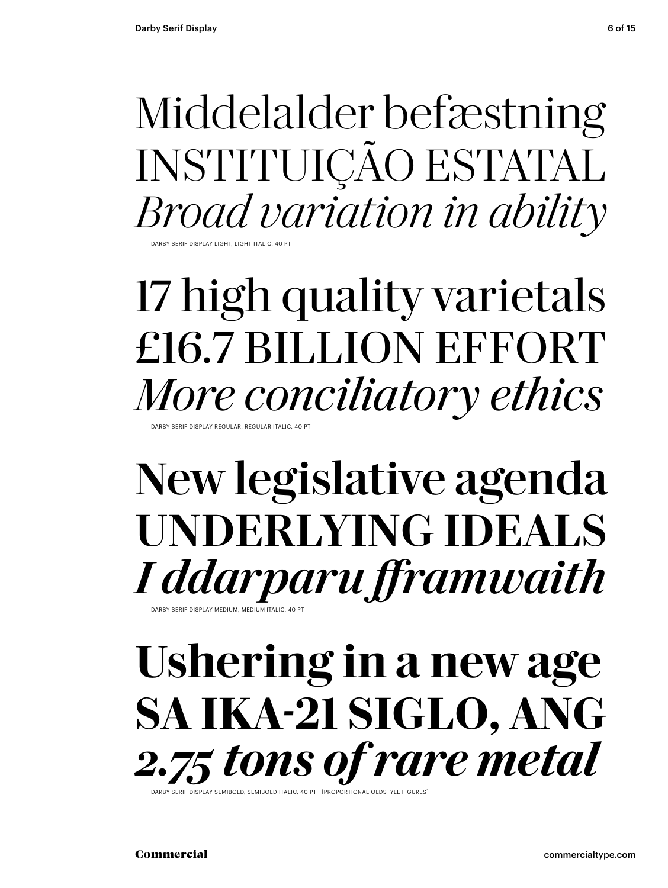### Middelalder befæstning INSTITUIÇÃO ESTATAL *Broad variation in ability*

DARBY SERIF DISPLAY LIGHT, LIGHT ITALIC.

### 17 high quality varietals £16.7 BILLION EFFORT *More conciliatory ethics* .<br>ARBY SERIF DISPLAY REGULAR, REGULAR ITALIC, 40 PT

### New legislative agenda UNDERLYING IDEALS *I ddarparu fframwaith*

.<br>DARBY SERIE DISPLAY MEDILIM, MEDILIM ITALIC, 40

### **Ushering in a new age SA IKA-21 SIGLO, ANG** *2.75 tons of rare metal*

DISPLAY SEMIBOLD, SEMIBOLD ITALIC, 40 PT [PROPORTIONAL OLDSTYLE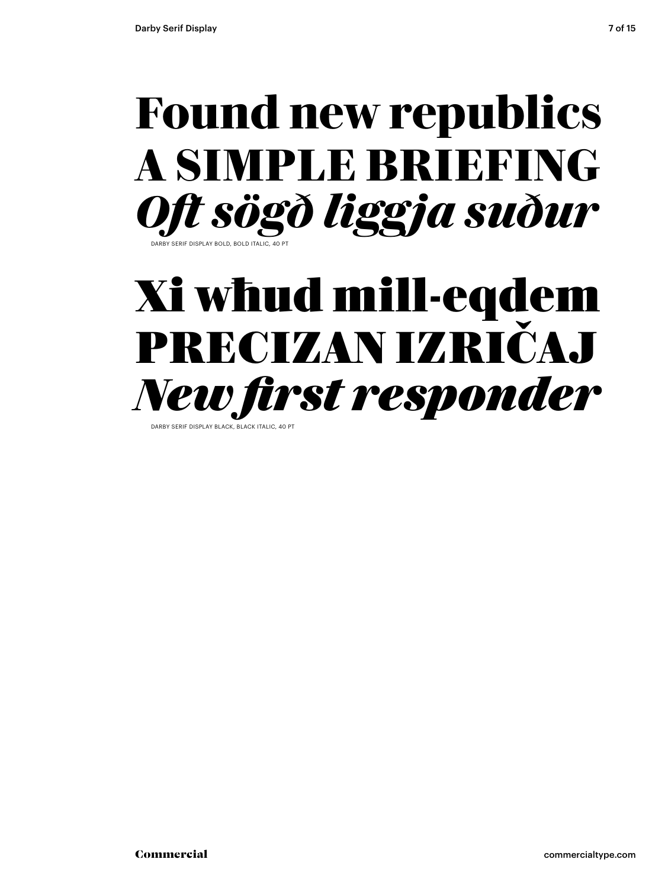### **Found new republics A SIMPLE BRIEFING** *Oft sögð liggja suður* DARBY SERIF DISPLAY BOLD, BOLD ITALIC, 40 PT

### Xi wħud mill-eqdem PRECIZAN IZRIČAJ *New first responder*

DARBY SERIF DISPLAY BLACK, BLACK ITALIC, 40 PT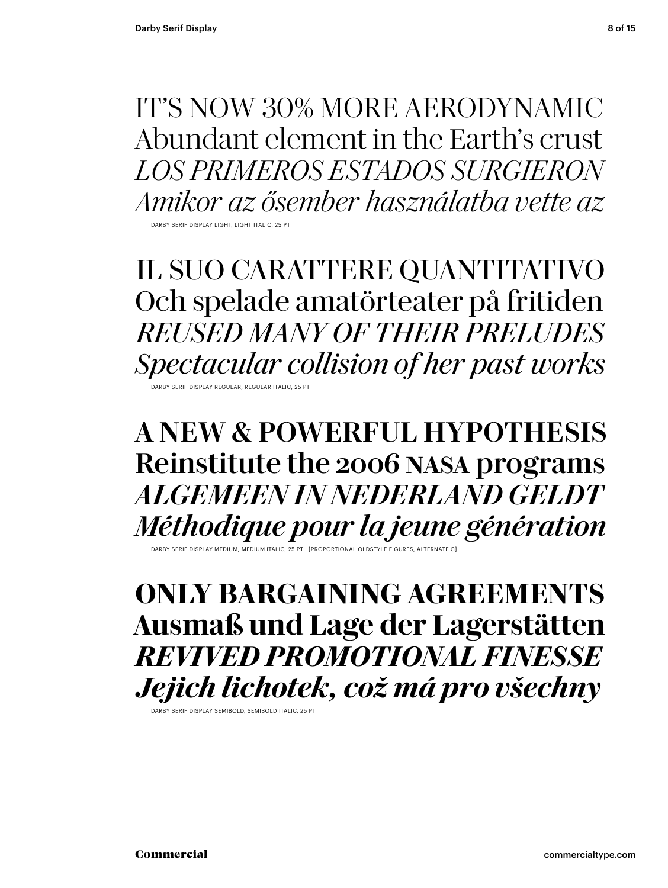IT'S NOW 30% MORE AERODYNAMIC Abundant element in the Earth's crust *LOS PRIMEROS ESTADOS SURGIERON Amikor az ősember használatba vette az*

DARBY SERIF DISPLAY LIGHT, LIGHT ITALIC, 25 PT

IL SUO CARATTERE QUANTITATIVO Och spelade amatörteater på fritiden *REUSED MANY OF THEIR PRELUDES Spectacular collision of her past works* DARBY SERIF DISPLAY REGULAR, REGULAR ITALIC, 25 PT

A NEW & POWERFUL HYPOTHESIS Reinstitute the 2006 nasa programs *ALGEMEEN IN NEDERLAND GELDT Méthodique pour la jeune génération*

DARBY SERIF DISPLAY MEDIUM, MEDIUM ITALIC, 25 PT [PROPORTIONAL OLDSTYLE FIGURES, ALTERNATE C]

**ONLY BARGAINING AGREEMENTS Ausmaß und Lage der Lagerstätten** *REVIVED PROMOTIONAL FINESSE Jejich lichotek, což má pro všechny*

DARBY SERIF DISPLAY SEMIBOLD, SEMIBOLD ITALIC, 25 PT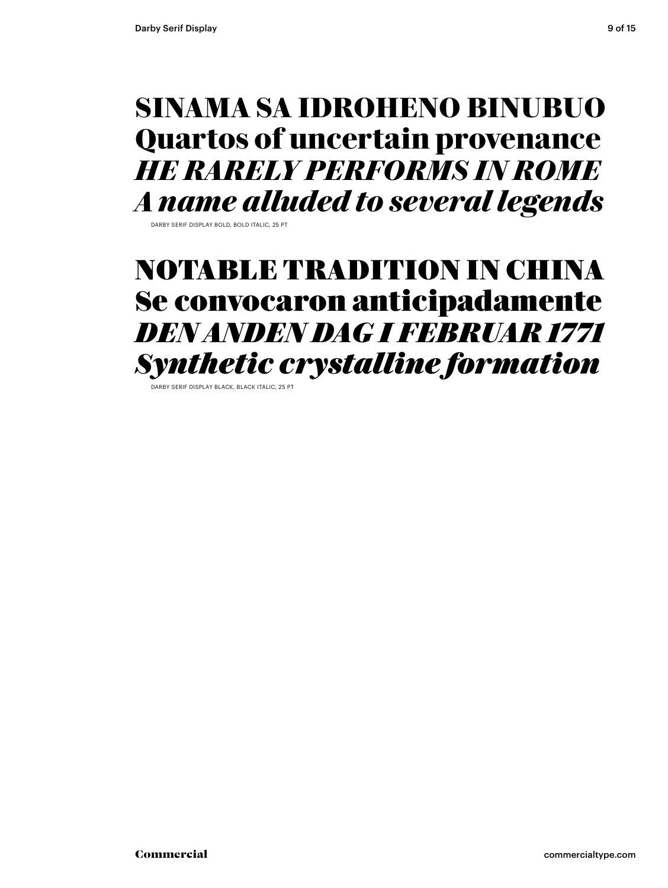#### **SINAMA SA IDROHENO BINUBUO Quartos of uncertain provenance** *HE RARELY PERFORMS IN ROME A name alluded to several legends*

DARBY SERIE DISPLAY BOLD, BOLD ITALIC, 25 P

#### NOTABLE TRADITION IN CHINA Se convocaron anticipadamente *DEN ANDEN DAG I FEBRUAR 1771 Synthetic crystalline formation*

DARBY SERIF DISPLAY BLACK, BLACK ITALIC, 25 PT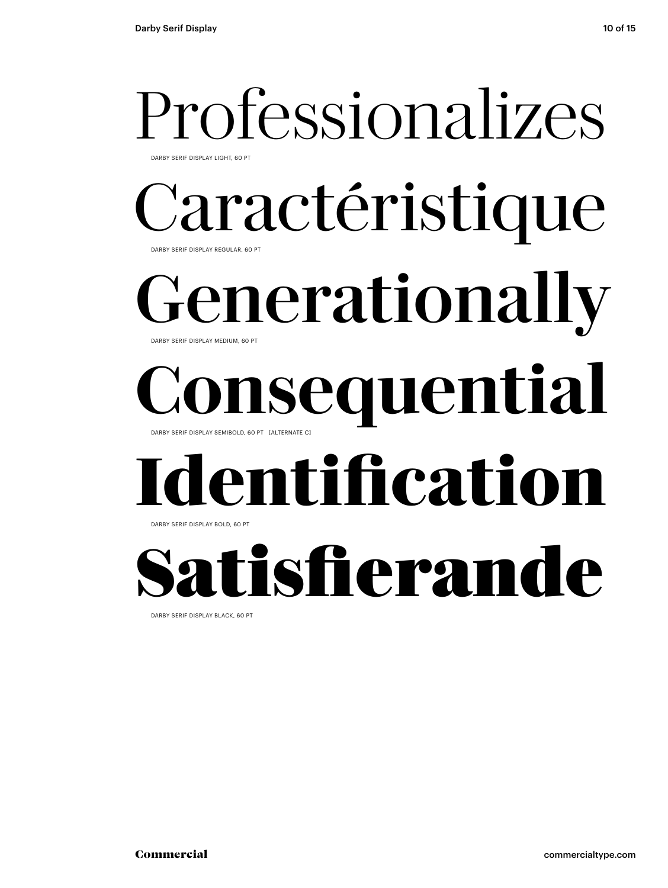# Professionalizes

DARBY SERIF DISPLAY LIGHT, 60 PT

#### Caractéristique DARBY SERIF DISPLAY REGULAR, 60 PT

enerationally DARBY SERIF DISPLAY MEDIUM, 60 PT

### **Consequential** DARBY SERIF DISPLAY SEMIBOLD, 60 PT [ALTERNATE C]

## **Identification**

DARBY SERIF DISPLAY BOLD, 60 PT

## tisfierande

DARBY SERIF DISPLAY BLACK, 60 PT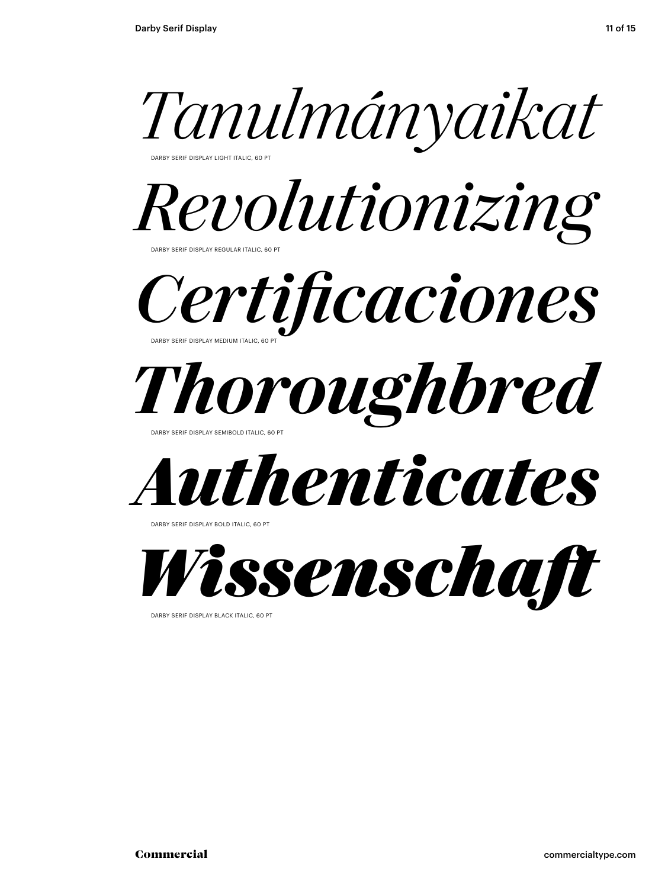

DARBY SERIF DISPLAY LIGHT ITALIC, 60 PT



*Certificaciones* DARBY SERIF DISPLAY MEDIUM ITALIC, 60 PT



DARBY SERIF DISPLAY SEMIBOLD ITALIC, 60 PT



DARBY SERIF DISPLAY BOLD ITALIC, 60 PT



DARBY SERIF DISPLAY BLACK ITALIC, 60 PT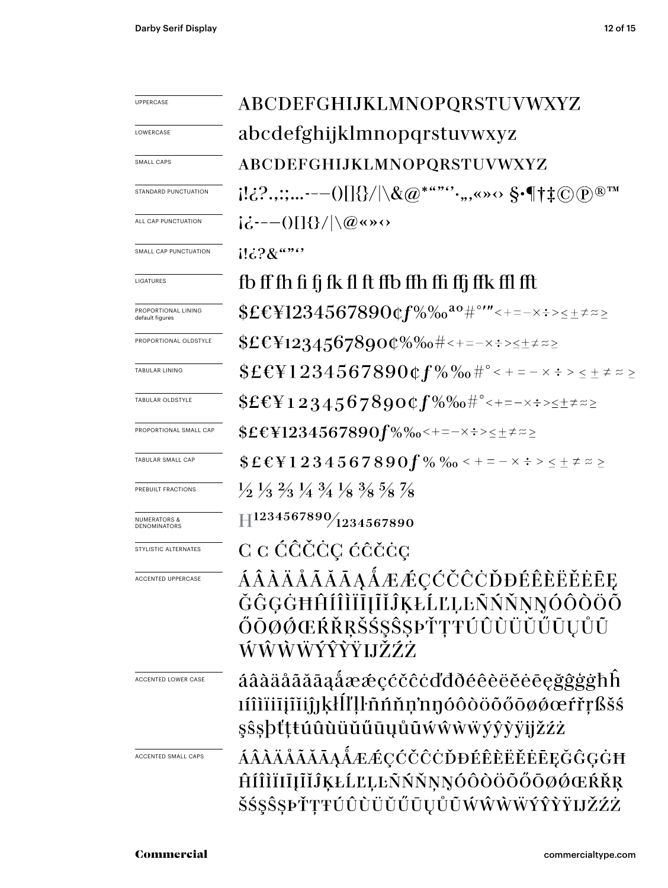| UPPERCASE                               | ABCDEFGHIJKLMNOPQRSTUVWXYZ                                                                                                                          |  |  |  |  |  |
|-----------------------------------------|-----------------------------------------------------------------------------------------------------------------------------------------------------|--|--|--|--|--|
| LOWERCASE                               | abcdefghijklmnopqrstuvwxyz                                                                                                                          |  |  |  |  |  |
| SMALL CAPS                              | ABCDEFGHIJKLMNOPQRSTUVWXYZ                                                                                                                          |  |  |  |  |  |
| STANDARD PUNCTUATION                    |                                                                                                                                                     |  |  |  |  |  |
| ALL CAP PUNCTUATION                     | $i\dot{\zeta}$ ---()[]{}/ \@«»<>                                                                                                                    |  |  |  |  |  |
| SMALL CAP PUNCTUATION                   | $113.28$ $\cdots$                                                                                                                                   |  |  |  |  |  |
| LIGATURES                               | fb ff fh fi fj fk fl ft ffb ffh ffi ffj ffk ffl fft                                                                                                 |  |  |  |  |  |
| PROPORTIONAL LINING<br>default figures  | $$E&1234567890$ Qf%‰ $^{a_0}$ #°′″<+=-×÷><±≠≈≥                                                                                                      |  |  |  |  |  |
| PROPORTIONAL OLDSTYLE                   | $$E&Y12345678900\%$ % $$+=-x.+>=\pm z\pm z\approx$                                                                                                  |  |  |  |  |  |
| TABULAR LINING                          | $$ \pounds \pounds \pounds \pounds 1234567890$ $~\pounds \pmod{ \#^{\circ} < + \, \text{--} \times \pounds > \, \leq \, \pm \not \approx \, \geq }$ |  |  |  |  |  |
| TABULAR OLDSTYLE                        | $EEY12345678900f\%$ % $t^{\circ}<+=-x$ :> $\leq \pm z \geq$                                                                                         |  |  |  |  |  |
| PROPORTIONAL SMALL CAP                  | $EEY1234567890f\%$ %-+=- $\times$ :> $\leq \pm \neq z$                                                                                              |  |  |  |  |  |
| TABULAR SMALL CAP                       | $$EEY1234567890f\%$ % $\frac{6}{100}$ < $+$ = $ \times$ $\div$ $>$ $\leq$ $\pm$ $\neq$ $\approx$ $\geq$                                             |  |  |  |  |  |
| PREBUILT FRACTIONS                      | $\frac{1}{2}$ $\frac{1}{3}$ $\frac{2}{3}$ $\frac{1}{4}$ $\frac{3}{4}$ $\frac{1}{8}$ $\frac{3}{8}$ $\frac{5}{8}$ $\frac{7}{8}$                       |  |  |  |  |  |
| <b>NUMERATORS &amp;</b><br>DENOMINATORS | $\rm{H^{1234567890}\!/\!_{1234567890}}$                                                                                                             |  |  |  |  |  |
| STYLISTIC ALTERNATES                    | C C ĆĈČĊÇ ĆĈČĊÇ                                                                                                                                     |  |  |  |  |  |
| <b>ACCENTED UPPERCASE</b>               | ÁÂÀÄÅÃĂĀĄÅÆÆÇĆČĈÒĐÉÊÈËĚĒE<br>ĞĜĢĠĦĤÍÎÌĨĪĮĨĬĴĶŁĹĽĻĿÑŃŇŅŅÓÔÒÖÕ<br>ŐŌØŐŒŔŘŖŠŚŞŜŞÞŤŢŦÚÛÙÜŬŰŪŲŮŨ<br>ŴŴŴŴŶŶŸIJŽŹŻ                                         |  |  |  |  |  |
| ACCENTED LOWER CASE                     | áâàäåãããaåææçćčĉċďđðéêèëěēeğĝġġħĥ<br>ıíîìïiījĩĭiĵjķŀĺľḷŀñńňņ'nŋóôòöõőōøøœŕřŗßšś<br>şŝşþťttúûùüŭűūųůũẃŵẁẅýŷỳÿjžźż                                    |  |  |  |  |  |
| ACCENTED SMALL CAPS                     | ÁÂÀÄÅÃĂĀĄÅÆÆÇĆČĊĎĐÉÊÈËĔĖĒĘĞĜĢĠĦ<br>ĤÍÎÌÏIĪĮĨĬĴĶŁĹĽĻĿÑŃŇŅŊÓÔŎÖŐŐŌØŒŔŘŖ<br>ŠŚŞŜŞÞŤŢŦÚÛÙÜŬŰŨŲŮŨŴŴŴŴÝŶŶŸIJŽŹŻ                                           |  |  |  |  |  |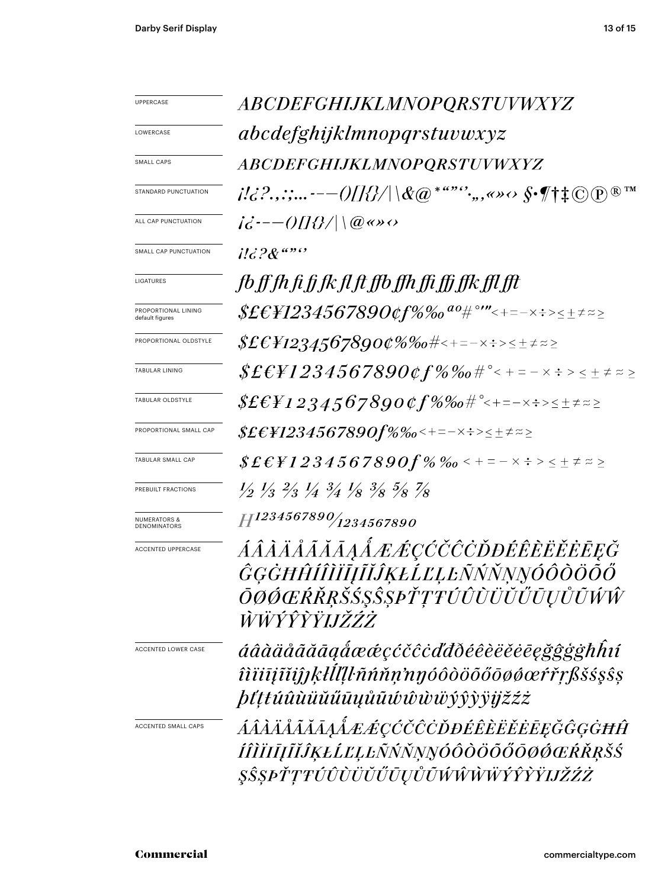| <b>UPPERCASE</b>                        | <i>ABCDEFGHIJKLMNOPQRSTUVWXYZ</i>                                                                                                                                                                                                                                                                                        |  |  |  |  |
|-----------------------------------------|--------------------------------------------------------------------------------------------------------------------------------------------------------------------------------------------------------------------------------------------------------------------------------------------------------------------------|--|--|--|--|
| LOWERCASE                               | abcdefghijklmnopqrstuvwxyz                                                                                                                                                                                                                                                                                               |  |  |  |  |
| SMALL CAPS                              | <i>ABCDEFGHIJKLMNOPQRSTUVWXYZ</i>                                                                                                                                                                                                                                                                                        |  |  |  |  |
| STANDARD PUNCTUATION                    | $d\mathcal{C}^{1,1}(\mathcal{C}^{2,2},\mathcal{C}^{2},\mathcal{C}^{2},\mathcal{C}^{2})=\mathcal{O}(\mathcal{U}^{2}/\mathcal{U})\setminus\mathcal{C}(\mathcal{Q})^{*}\stackrel{a.s.s.s.}{\otimes}\mathcal{C},\quad \text{where } \mathcal{C}^{*}\text{ is a constant.}$<br>$(\widehat{R})$ TM                             |  |  |  |  |
| ALL CAP PUNCTUATION                     | $i\ddot{\sigma}$ :-- $\frac{1}{2}$ ( $\frac{1}{2}$ $\frac{1}{2}$ $\frac{1}{2}$ $\frac{1}{2}$ $\frac{1}{2}$ $\frac{1}{2}$ $\frac{1}{2}$ $\frac{1}{2}$ $\frac{1}{2}$ $\frac{1}{2}$ $\frac{1}{2}$ $\frac{1}{2}$ $\frac{1}{2}$ $\frac{1}{2}$ $\frac{1}{2}$ $\frac{1}{2}$ $\frac{1}{2}$ $\frac{1}{2}$ $\frac{1}{2}$ $\frac{1$ |  |  |  |  |
| SMALL CAP PUNCTUATION                   | $il\epsilon$ ? $\&$ """                                                                                                                                                                                                                                                                                                  |  |  |  |  |
| LIGATURES                               | fb ff fh fi fj fk fl ft ffb ffh ffi ffj ffk ffl fft                                                                                                                                                                                                                                                                      |  |  |  |  |
| PROPORTIONAL LINING<br>default figures  |                                                                                                                                                                                                                                                                                                                          |  |  |  |  |
| PROPORTIONAL OLDSTYLE                   | $$ \pounds \pounds \pounds \pounds 12345678900\% \%$ o#<+=-x $\Rightarrow$ $\Rightarrow$ $\pm$ $\neq$ $\approx$ $\geq$                                                                                                                                                                                                   |  |  |  |  |
| <b>TABULAR LINING</b>                   | $\text{\textit{SE}}{\text{\textit{E}}{}}1234567890$ $\text{\textit{cf}}\,\%$ $\%$ of $\text{\textit{f}}\simeq$ + = – $\times$ $\text{\textit{+}}$ > $\times$ $\pm$ $\neq$ $\approx$ $\geq$                                                                                                                               |  |  |  |  |
| TABULAR OLDSTYLE                        | $$EEF1234567890$ of $$\%$ % $\#$ e + = - x $\div$ > $\leq$ $\pm$ $\neq$ $\approx$ $\geq$                                                                                                                                                                                                                                 |  |  |  |  |
| PROPORTIONAL SMALL CAP                  |                                                                                                                                                                                                                                                                                                                          |  |  |  |  |
| TABULAR SMALL CAP                       | $$E$ £ $F1234567890f\%$ ‰ < + = $ \times$ $\div$ > $\leq$ $\pm$ $\neq$ $\approx$ $\geq$                                                                                                                                                                                                                                  |  |  |  |  |
| PREBUILT FRACTIONS                      | $\frac{1}{2}$ $\frac{1}{3}$ $\frac{2}{3}$ $\frac{1}{4}$ $\frac{3}{4}$ $\frac{1}{8}$ $\frac{3}{8}$ $\frac{5}{8}$ $\frac{7}{8}$                                                                                                                                                                                            |  |  |  |  |
| <b>NUMERATORS &amp;</b><br>DENOMINATORS | $H^{1234567890}/_{1234567890}$                                                                                                                                                                                                                                                                                           |  |  |  |  |
| ACCENTED UPPERCASE                      | ÁÂÀÄÅÃĂĀĀĄÅÆÆÇĆČĈÒĐÉÊÈËĔĒĒĘĞ<br>ĜĢĠĦĤÍÎÌĬĪĮĨĬĴĶŁĹĽĻĿÑŃŇŅŊÓÔŎŎŐŐ<br>ŌØŐŒŔŘŖŠŚŞŜȘPŤŢŦŰÛÙŬŬŬŨŲŮŨŴŴ<br>ŴŴŶŶŶŸIJŽŹŻ                                                                                                                                                                                                           |  |  |  |  |
| <b>ACCENTED LOWER CASE</b>              | áâàäåãããaaåææçćčĉcďđðéêèëĕēeğĝģģħĥí<br>îìïiīįĩĭiĵĵkłll[ŀñńňṇ'nŋóôòöõőōøøœŕřŗßšśşŝş<br><i>þťṭtúûùüŭűūyůũŵŵŵŵŷŷỳijžźż</i>                                                                                                                                                                                                  |  |  |  |  |
| <b>ACCENTED SMALL CAPS</b>              | ÁÂÀÄÅÃĂĀĄÅÆÆÇĆČĈÒĐÉÊÈËĔĔĒĘĞĜĢĠĦĤ<br>ÍÎÌÏIĪĮĨĬĴĶŁĹĽĻĿÑŃŇŅŊÓÔÒÖŐŐŌØØŒŔŘRŠŚ<br>ŞŜŞPŤŢŦÚÛÙÜŬŰŨŲŮŨŴŴŴŴÝŶŶŸIJŽŹŻ                                                                                                                                                                                                               |  |  |  |  |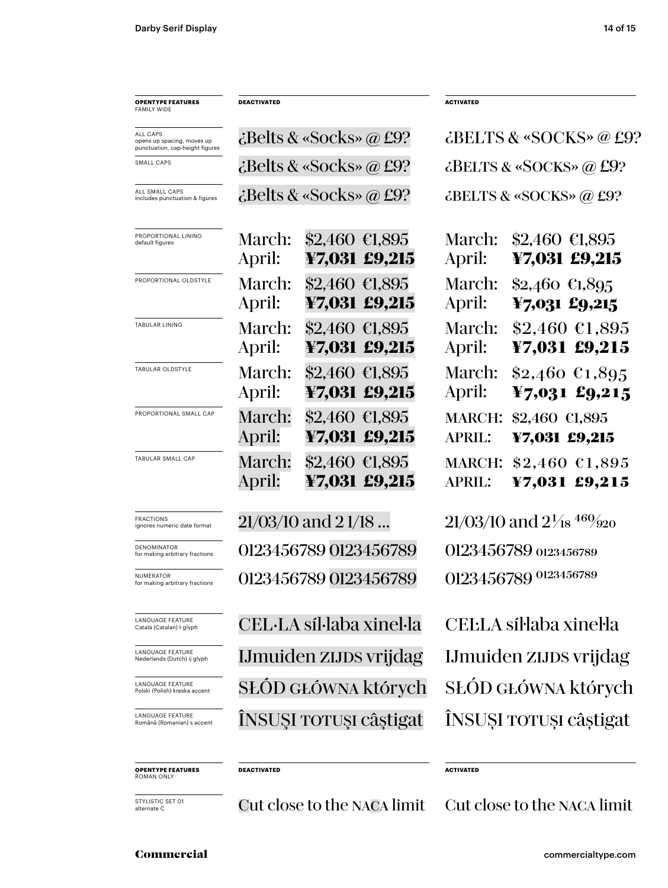| <b>OPENTYPE FEATURES</b><br>FAMILY WIDE                                   | <b>DEACTIVATED</b>                  |                               |                                 | <b>ACTIVATED</b>                         |                                                       |  |
|---------------------------------------------------------------------------|-------------------------------------|-------------------------------|---------------------------------|------------------------------------------|-------------------------------------------------------|--|
| ALL CAPS<br>opens up spacing, moves up<br>punctuation, cap-height figures | $\mathcal{L}$ Belts & «Socks» @ £9? |                               |                                 | $\ddot{\text{c}}$ BELTS & «SOCKS» @ £9?  |                                                       |  |
| SMALL CAPS                                                                | $\epsilon$ Belts & «Socks» @ £9?    |                               |                                 | $\dot{\text{c}}$ BELTS & «SOCKS» @ £9?   |                                                       |  |
| ALL SMALL CAPS<br>includes punctuation & figures                          | $\mathcal{L}$ Belts & «Socks» @ £9? |                               |                                 | $\ddot{\text{c}}$ BELTS & «SOCKS» @ £9?  |                                                       |  |
| PROPORTIONAL LINING<br>default figures                                    | March:<br>April:                    | $$2,460$ €1,895               | ¥7,031 £9,215                   | March:<br>April:                         | $$2,460$ €1,895<br>¥7,031 £9,215                      |  |
| PROPORTIONAL OLDSTYLE                                                     | March:<br>April:                    | \$2,460 €1,895                | ¥7,031 £9,215                   | March:<br>April:                         | $$2,460$ €1,895<br>$\text{\textsterling}7,031$ £9,215 |  |
| TABULAR LINING                                                            | March:<br>April:                    | \$2,460 €1,895                | ¥7,031 £9,215                   | March:<br>April:                         | $$2,460$ €1,895<br>¥7,031 £9,215                      |  |
| TABULAR OLDSTYLE                                                          | March:<br>April:                    | \$2,460 €1,895                | ¥7,031 £9,215                   | March:<br>April:                         | $$2,460$ €1,895<br>$\text{\textsterling}7,031$ £9,215 |  |
| PROPORTIONAL SMALL CAP                                                    | March:<br>April:                    | \$2,460 €1,895                | ¥7,031 £9,215                   | <b>MARCH:</b><br><b>APRIL:</b>           | \$2,460 €1,895<br>¥7,031 £9,215                       |  |
| TABULAR SMALL CAP                                                         | March:<br>April:                    |                               | \$2,460 €1,895<br>¥7,031 £9,215 | <b>MARCH:</b><br><b>APRIL:</b>           | $$2,460$ $$1,895$<br>¥7,031 £9,215                    |  |
| <b>FRACTIONS</b><br>ignores numeric date format                           | $21/03/10$ and $21/18$              |                               |                                 | $21/03/10$ and $2\frac{1}{18}$ $460/920$ |                                                       |  |
| DENOMINATOR<br>for making arbitrary fractions                             | 0123456789 0123456789               |                               |                                 | 0123456789 0123456789                    |                                                       |  |
| <b>NUMERATOR</b><br>for making arbitrary fractions                        | 0123456789 0123456789               |                               |                                 | 0123456789 0123456789                    |                                                       |  |
| <b>LANGUAGE FEATURE</b><br>Català (Catalan) ŀ glyph                       | CEL·LA síl·laba xinel·la            |                               |                                 | CELLA síl·laba xinel·la                  |                                                       |  |
| <b>LANGUAGE FEATURE</b><br>Nederlands (Dutch) ij glyph                    |                                     | <b>IJmuiden zijds vrijdag</b> |                                 |                                          | <b>IJmuiden ZIJDS vrijdag</b>                         |  |
| LANGUAGE FEATURE<br>Polski (Polish) kreska accent                         | SŁOD GŁÓWNA których                 |                               |                                 | SŁÓD GŁÓWNA których                      |                                                       |  |
| LANGUAGE FEATURE<br>Română (Romanian) s accent                            | INSUSI TOTUŞI câştigat              |                               |                                 | ÎNSUȘI TOTUȘI câștigat                   |                                                       |  |
| <b>OPENTYPE FEATURES</b><br>ROMAN ONLY                                    | <b>DEACTIVATED</b>                  |                               |                                 | <b>ACTIVATED</b>                         |                                                       |  |

STYLISTIC SET 01<br>alternate C

Cut close to the NACA limit Cut close to the NACA limit